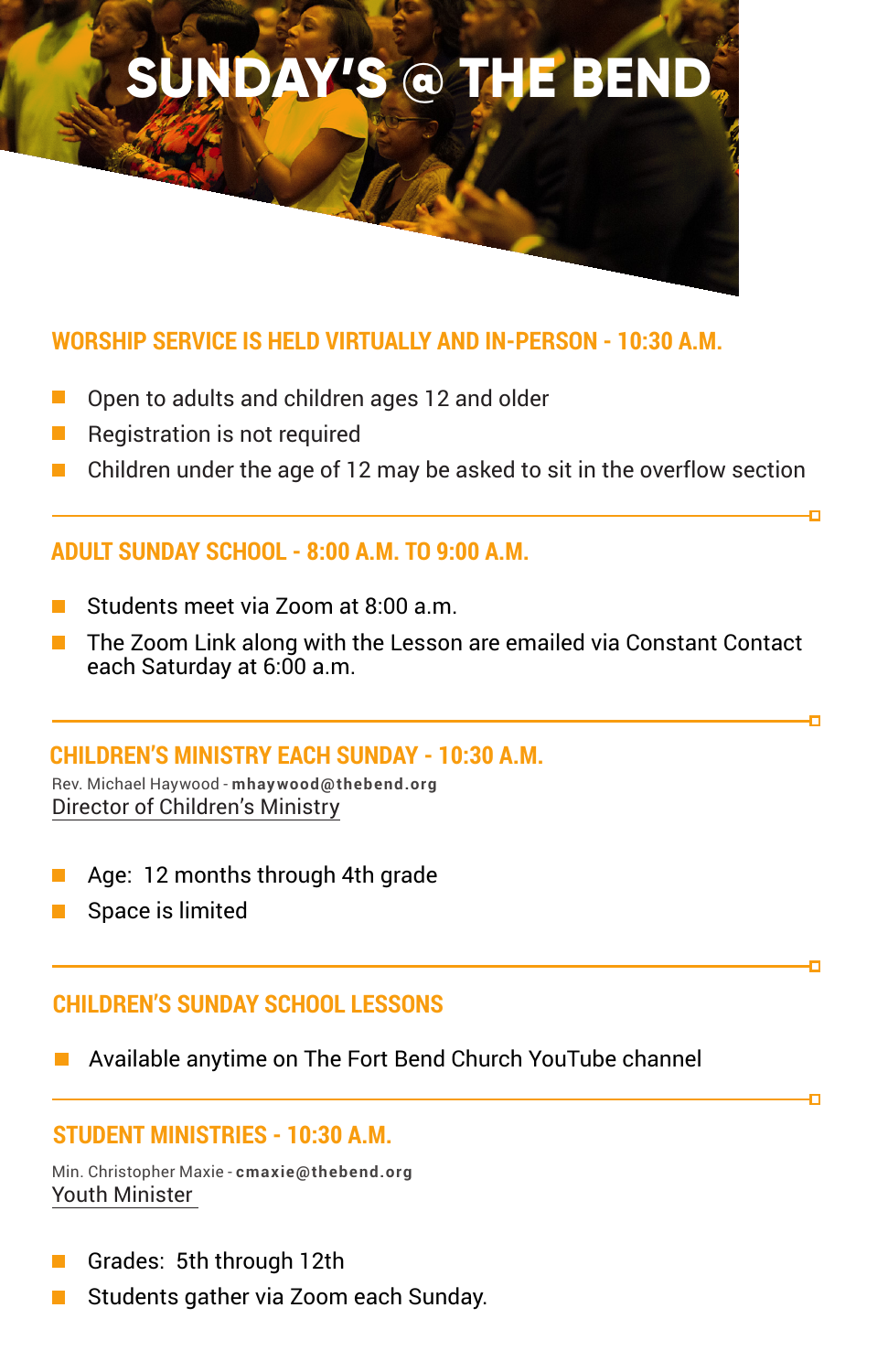

## **WORSHIP SERVICE IS HELD VIRTUALLY AND IN-PERSON - 10:30 A.M.**

- Open to adults and children ages 12 and older
- П Registration is not required
- Children under the age of 12 may be asked to sit in the overflow section  $\mathcal{L}^{\mathcal{A}}$

## **ADULT SUNDAY SCHOOL - 8:00 A.M. TO 9:00 A.M.**

- Students meet via Zoom at 8:00 a.m.
- The Zoom Link along with the Lesson are emailed via Constant Contact each Saturday at 6:00 a.m.

'n,

o

### **CHILDREN'S MINISTRY EACH SUNDAY - 10:30 A.M.**

Rev. Michael Haywood - **mhaywood@thebend.org** Director of Children's Ministry

- Age: 12 months through 4th grade
- Space is limited

# **CHILDREN'S SUNDAY SCHOOL LESSONS**

Available anytime on The Fort Bend Church YouTube channel

# **STUDENT MINISTRIES - 10:30 A.M.**

```
Min. Christopher Maxie - cmaxie@thebend.org
Youth Minister
```
- Grades: 5th through 12th  $\mathcal{L}(\mathcal{A})$
- Students gather via Zoom each Sunday.  $\mathcal{L}^{\mathcal{A}}$